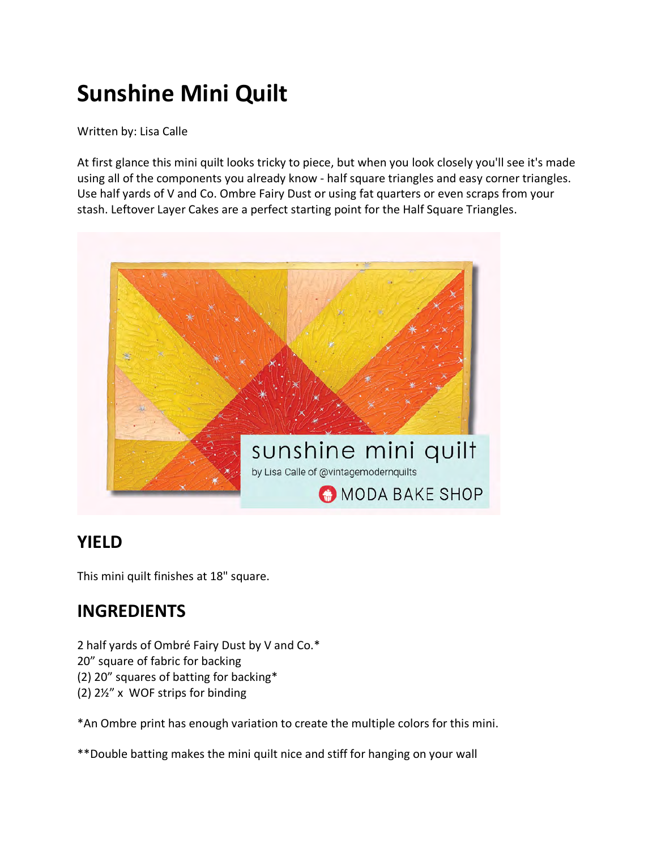# **Sunshine Mini Quilt**

Written by: Lisa Calle

At first glance this mini quilt looks tricky to piece, but when you look closely you'll see it's made using all of the components you already know - half square triangles and easy corner triangles. Use half yards of V and Co. Ombre Fairy Dust or using fat quarters or even scraps from your stash. Leftover Layer Cakes are a perfect starting point for the Half Square Triangles.



# **YIELD**

This mini quilt finishes at 18" square.

# **INGREDIENTS**

2 half yards of Ombré Fairy Dust by V and Co.\*

- 20" square of fabric for backing
- (2) 20" squares of batting for backing\*
- (2) 2½" x WOF strips for binding

\*An Ombre print has enough variation to create the multiple colors for this mini.

\*\*Double batting makes the mini quilt nice and stiff for hanging on your wall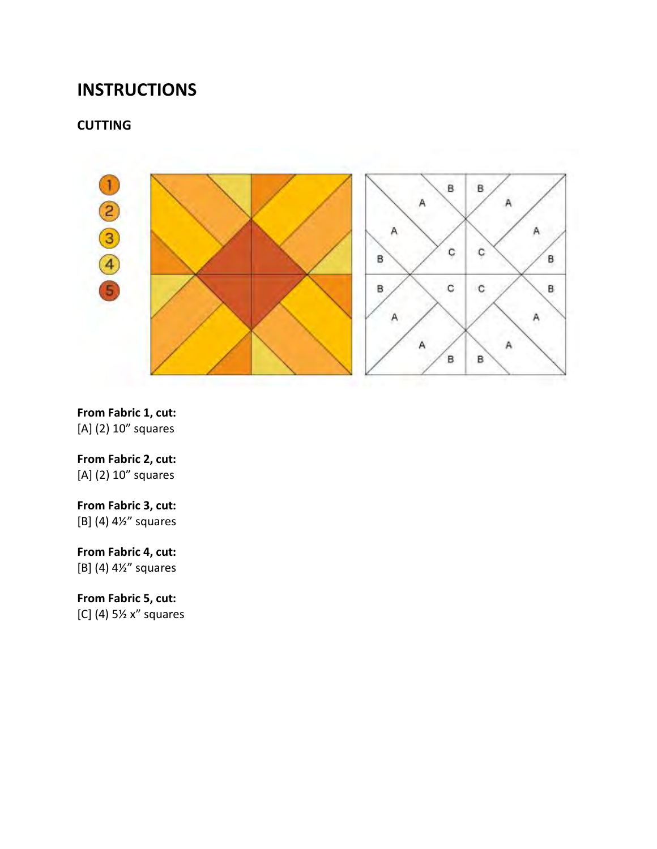### **INSTRUCTIONS**

#### **CUTTING**



**From Fabric 1, cut:** [A] (2) 10" squares

#### **From Fabric 2, cut:**

[A] (2) 10" squares

# **From Fabric 3, cut:**

[B] (4) 4½" squares

#### **From Fabric 4, cut:** [B] (4) 4½" squares

#### **From Fabric 5, cut:** [C] (4) 5½ x" squares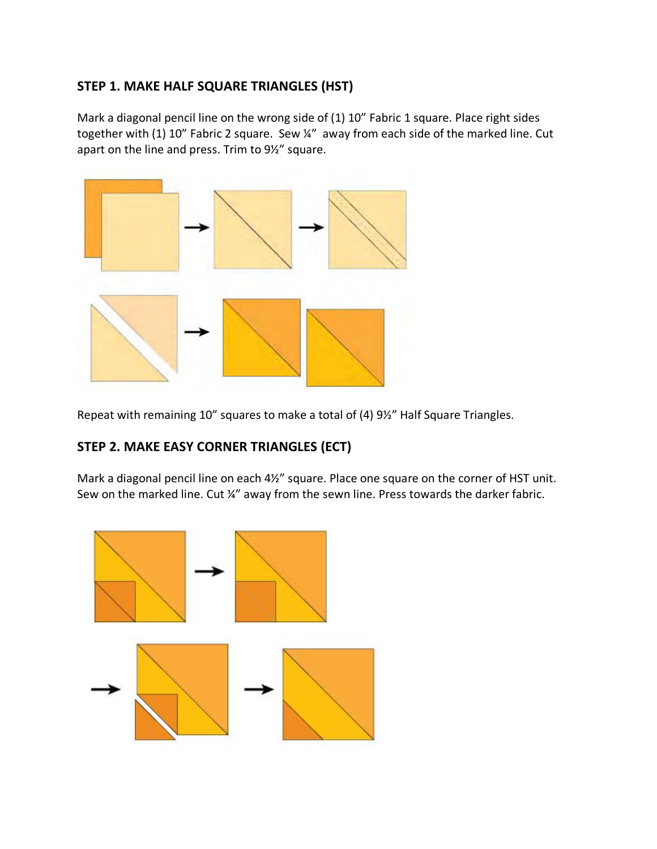#### **STEP 1. MAKE HALF SQUARE TRIANGLES (HST)**

Mark a diagonal pencil line on the wrong side of (1) 10" Fabric 1 square. Place right sides together with (1) 10" Fabric 2 square. Sew ¼" away from each side of the marked line. Cut apart on the line and press. Trim to 9½" square.



Repeat with remaining 10" squares to make a total of (4) 9½" Half Square Triangles.

#### **STEP 2. MAKE EASY CORNER TRIANGLES (ECT)**

Mark a diagonal pencil line on each 4½" square. Place one square on the corner of HST unit. Sew on the marked line. Cut ¼" away from the sewn line. Press towards the darker fabric.

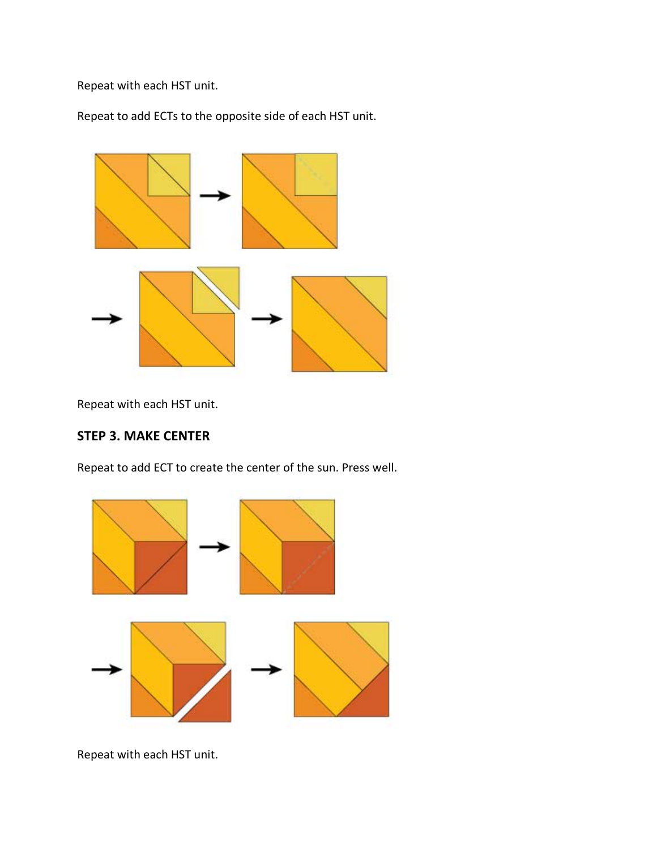Repeat with each HST unit.

Repeat to add ECTs to the opposite side of each HST unit.



Repeat with each HST unit.

#### **STEP 3. MAKE CENTER**

Repeat to add ECT to create the center of the sun. Press well.



Repeat with each HST unit.